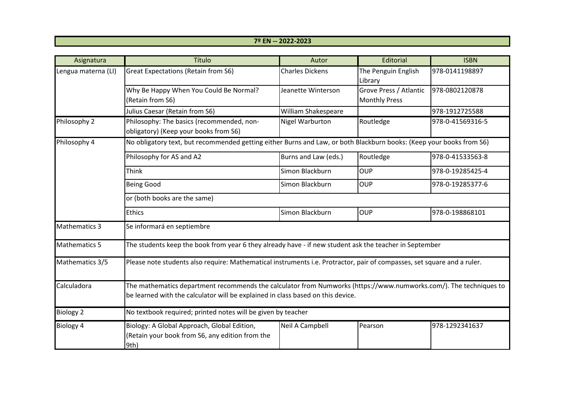| 7º EN -- 2022-2023 |  |  |  |  |  |
|--------------------|--|--|--|--|--|
|                    |  |  |  |  |  |

| Asignatura                                                                                                                                                                                                          | Título                                                                                                               | Autor                  | Editorial                                      | <b>ISBN</b>      |  |  |
|---------------------------------------------------------------------------------------------------------------------------------------------------------------------------------------------------------------------|----------------------------------------------------------------------------------------------------------------------|------------------------|------------------------------------------------|------------------|--|--|
| Lengua materna (LI)                                                                                                                                                                                                 | <b>Great Expectations (Retain from S6)</b>                                                                           | <b>Charles Dickens</b> | The Penguin English<br>Library                 | 978-0141198897   |  |  |
|                                                                                                                                                                                                                     | Why Be Happy When You Could Be Normal?<br>(Retain from S6)                                                           | Jeanette Winterson     | Grove Press / Atlantic<br><b>Monthly Press</b> | 978-0802120878   |  |  |
|                                                                                                                                                                                                                     | Julius Caesar (Retain from S6)                                                                                       | William Shakespeare    |                                                | 978-1912725588   |  |  |
| Philosophy 2                                                                                                                                                                                                        | Philosophy: The basics (recommended, non-<br>obligatory) (Keep your books from S6)                                   | Nigel Warburton        | Routledge                                      | 978-0-41569316-5 |  |  |
| Philosophy 4                                                                                                                                                                                                        | No obligatory text, but recommended getting either Burns and Law, or both Blackburn books: (Keep your books from S6) |                        |                                                |                  |  |  |
|                                                                                                                                                                                                                     | Philosophy for AS and A2                                                                                             | Burns and Law (eds.)   | Routledge                                      | 978-0-41533563-8 |  |  |
|                                                                                                                                                                                                                     | <b>Think</b>                                                                                                         | Simon Blackburn        | <b>OUP</b>                                     | 978-0-19285425-4 |  |  |
|                                                                                                                                                                                                                     | <b>Being Good</b>                                                                                                    | Simon Blackburn        | <b>OUP</b>                                     | 978-0-19285377-6 |  |  |
|                                                                                                                                                                                                                     | or (both books are the same)                                                                                         |                        |                                                |                  |  |  |
|                                                                                                                                                                                                                     | <b>Ethics</b>                                                                                                        | Simon Blackburn        | <b>OUP</b>                                     | 978-0-198868101  |  |  |
| <b>Mathematics 3</b>                                                                                                                                                                                                | Se informará en septiembre                                                                                           |                        |                                                |                  |  |  |
| <b>Mathematics 5</b>                                                                                                                                                                                                | The students keep the book from year 6 they already have - if new student ask the teacher in September               |                        |                                                |                  |  |  |
| Mathematics 3/5<br>Please note students also require: Mathematical instruments i.e. Protractor, pair of compasses, set square and a ruler.                                                                          |                                                                                                                      |                        |                                                |                  |  |  |
| Calculadora<br>The mathematics department recommends the calculator from Numworks (https://www.numworks.com/). The techniques to<br>be learned with the calculator will be explained in class based on this device. |                                                                                                                      |                        |                                                |                  |  |  |
| <b>Biology 2</b>                                                                                                                                                                                                    | No textbook required; printed notes will be given by teacher                                                         |                        |                                                |                  |  |  |
| <b>Biology 4</b>                                                                                                                                                                                                    | Biology: A Global Approach, Global Edition,<br>(Retain your book from S6, any edition from the<br>9th)               | Neil A Campbell        | Pearson                                        | 978-1292341637   |  |  |